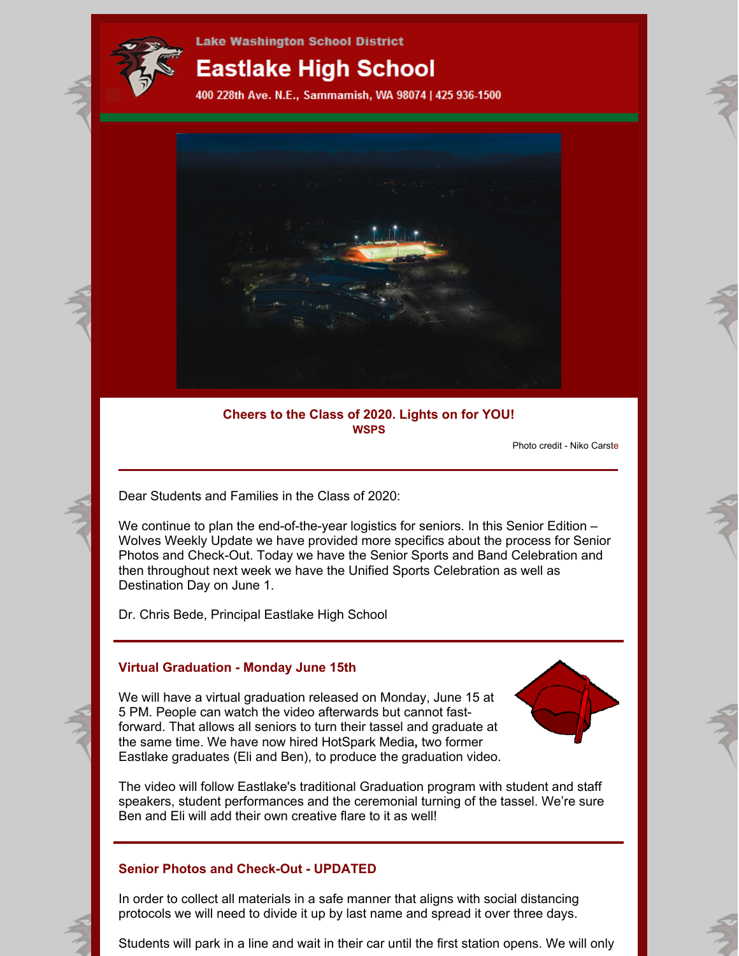

**Lake Washington School District** 

# **Eastlake High School**

400 228th Ave. N.E., Sammamish, WA 98074 | 425 936-1500



# **Cheers to the Class of 2020. Lights on for YOU! WSPS**

Photo credit - Niko Carste

Dear Students and Families in the Class of 2020:

We continue to plan the end-of-the-year logistics for seniors. In this Senior Edition – Wolves Weekly Update we have provided more specifics about the process for Senior Photos and Check-Out. Today we have the Senior Sports and Band Celebration and then throughout next week we have the Unified Sports Celebration as well as Destination Day on June 1.

Dr. Chris Bede, Principal Eastlake High School

### **Virtual Graduation - Monday June 15th**

We will have a virtual graduation released on Monday, June 15 at 5 PM. People can watch the video afterwards but cannot fastforward. That allows all seniors to turn their tassel and graduate at the same time. We have now hired HotSpark Media**,** two former Eastlake graduates (Eli and Ben), to produce the graduation video.



The video will follow Eastlake's traditional Graduation program with student and staff speakers, student performances and the ceremonial turning of the tassel. We're sure Ben and Eli will add their own creative flare to it as well!

# **Senior Photos and Check-Out - UPDATED**

In order to collect all materials in a safe manner that aligns with social distancing protocols we will need to divide it up by last name and spread it over three days.

Students will park in a line and wait in their car until the first station opens. We will only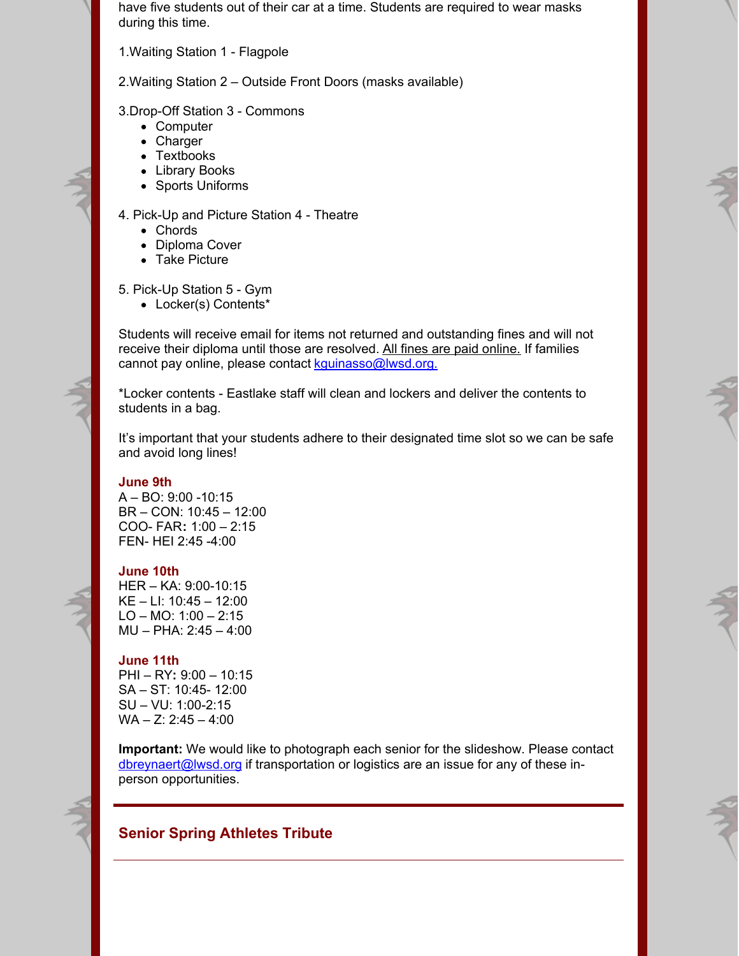have five students out of their car at a time. Students are required to wear masks during this time.

1.Waiting Station 1 - Flagpole

2.Waiting Station 2 – Outside Front Doors (masks available)

3.Drop-Off Station 3 - Commons

- Computer
- Charger
- Textbooks
- Library Books
- Sports Uniforms

#### 4. Pick-Up and Picture Station 4 - Theatre

- Chords
- Diploma Cover
- Take Picture

5. Pick-Up Station 5 - Gym

Locker(s) Contents\*

Students will receive email for items not returned and outstanding fines and will not receive their diploma until those are resolved. All fines are paid online. If families cannot pay online, please contact [kguinasso@lwsd.org.](mailto:kguinasso@lwsd.org)

\*Locker contents - Eastlake staff will clean and lockers and deliver the contents to students in a bag.

It's important that your students adhere to their designated time slot so we can be safe and avoid long lines!

#### **June 9th**

A – BO: 9:00 -10:15 BR – CON: 10:45 – 12:00 COO- FAR**:** 1:00 – 2:15 FEN- HEI 2:45 -4:00

### **June 10th**

HER – KA: 9:00-10:15 KE – LI: 10:45 – 12:00 LO – MO:  $1:00 - 2:15$ MU – PHA: 2:45 – 4:00

#### **June 11th**

PHI – RY**:** 9:00 – 10:15 SA – ST: 10:45- 12:00 SU – VU: 1:00-2:15  $WA - Z: 2:45 - 4:00$ 

**Important:** We would like to photograph each senior for the slideshow. Please contact [dbreynaert@lwsd.org](mailto:dbreynaert@lwsd.org) if transportation or logistics are an issue for any of these inperson opportunities.

# **Senior Spring Athletes Tribute**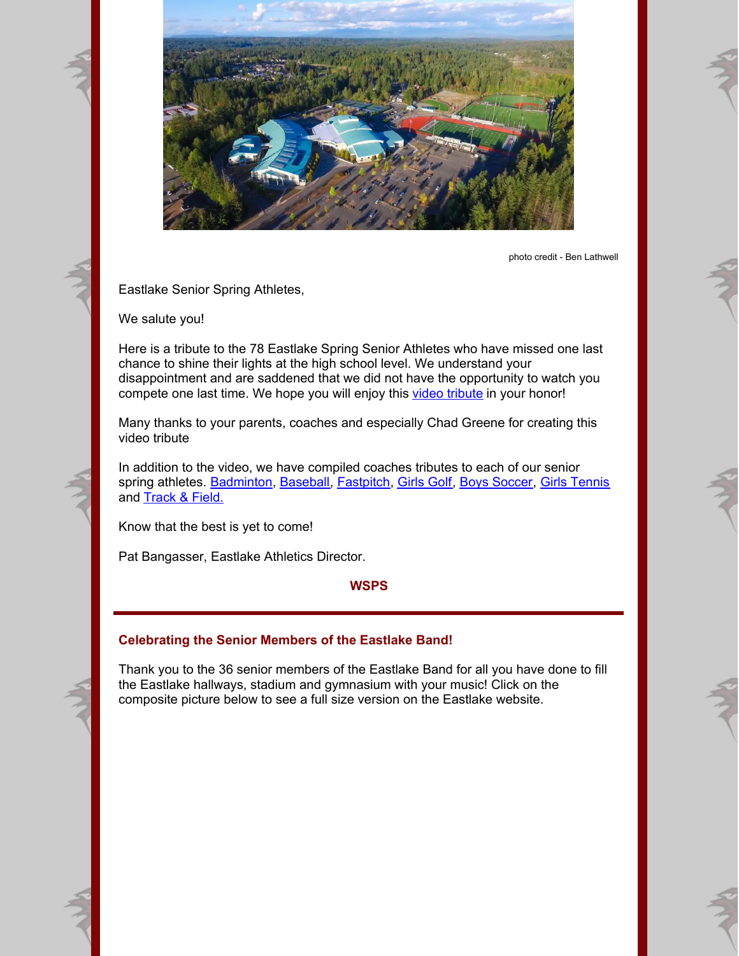

photo credit - Ben Lathwell

Eastlake Senior Spring Athletes,

We salute you!

Here is a tribute to the 78 Eastlake Spring Senior Athletes who have missed one last chance to shine their lights at the high school level. We understand your disappointment and are saddened that we did not have the opportunity to watch you compete one last time. We hope you will enjoy this video [tribute](https://www.youtube.com/watch?v=SNTCbWeAcuk&feature=youtu.be) in your honor!

Many thanks to your parents, coaches and especially Chad Greene for creating this video tribute

In addition to the video, we have compiled coaches tributes to each of our senior spring athletes. [Badminton](https://files.constantcontact.com/2940e7f2501/a1eb2c9a-ae35-4dd7-b9c3-9ae5eb32abec.pdf), [Baseball](https://files.constantcontact.com/2940e7f2501/724a0207-4d93-48e0-8799-50f4a2818c6e.pdf), [Fastpitch](https://files.constantcontact.com/2940e7f2501/a8e7095b-e23b-4969-b505-5d1376476fe0.pdf), [Girls](https://files.constantcontact.com/2940e7f2501/46da22b5-ca90-4e4d-a847-7ef7250e8753.pdf) Golf, Boys [Soccer](https://files.constantcontact.com/2940e7f2501/0b63975c-346f-4f0b-970d-6e63b4c2b9ef.pdf), Girls [Tennis](https://files.constantcontact.com/2940e7f2501/e589f6d0-ffc8-4165-8477-ae53a4568ef1.pdf) and [Track](https://files.constantcontact.com/2940e7f2501/89eede59-b50e-48f9-914c-daa43e616bc0.pdf) & Field.

Know that the best is yet to come!

Pat Bangasser, Eastlake Athletics Director.

**WSPS**

### **Celebrating the Senior Members of the Eastlake Band!**

Thank you to the 36 senior members of the Eastlake Band for all you have done to fill the Eastlake hallways, stadium and gymnasium with your music! Click on the composite picture below to see a full size version on the Eastlake website.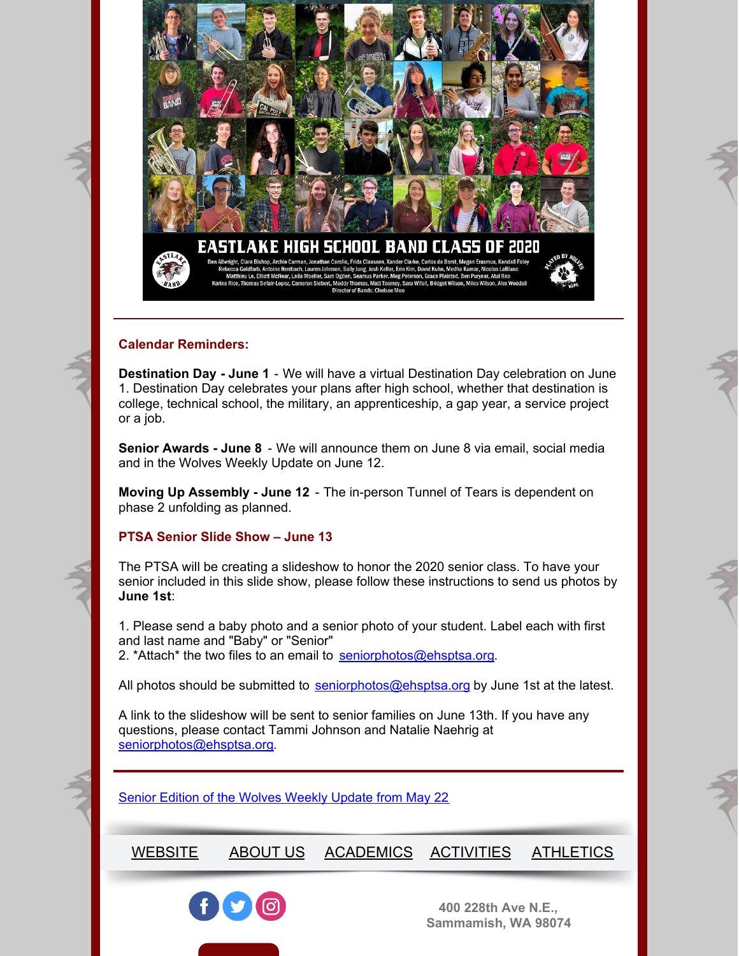

#### **Calendar Reminders:**

**Destination Day - June 1** - We will have a virtual Destination Day celebration on June 1. Destination Day celebrates your plans after high school, whether that destination is college, technical school, the military, an apprenticeship, a gap year, a service project or a job.

**Senior Awards - June 8** - We will announce them on June 8 via email, social media and in the Wolves Weekly Update on June 12.

**Moving Up Assembly - June 12** - The in-person Tunnel of Tears is dependent on phase 2 unfolding as planned.

# **PTSA Senior Slide Show – June 13**

The PTSA will be creating a slideshow to honor the 2020 senior class. To have your senior included in this slide show, please follow these instructions to send us photos by **June 1st**:

1. Please send a baby photo and a senior photo of your student. Label each with first and last name and "Baby" or "Senior" 2. \*Attach\* the two files to an email to [seniorphotos@ehsptsa.org](mailto:seniorphotos@ehsptsa.org).

All photos should be submitted to [seniorphotos@ehsptsa.org](mailto:seniorphotos@ehsptsa.org) by June 1st at the latest.

A link to the slideshow will be sent to senior families on June 13th. If you have any questions, please contact Tammi Johnson and Natalie Naehrig at [seniorphotos@ehsptsa.org](mailto:seniorphotos@ehsptsa.org).

Senior Edition of the [Wolves](https://ehs.lwsd.org/uploaded/Eastlake_High_school/Documents/Wolves_Weekly_Update/Senior_Edition_Wolves_Weekly_Update_May_22.pdf) Weekly Update from May 22

[WEBSITE](https://ehs.lwsd.org/) [ABOUT](https://ehs.lwsd.org/about-us) US [ACADEMICS](https://ehs.lwsd.org/academics) [ACTIVITIES](https://ehs.lwsd.org/activities) [ATHLETICS](https://ehs.lwsd.org/athletics)



**400 228th Ave N.E., Sammamish, WA 98074**